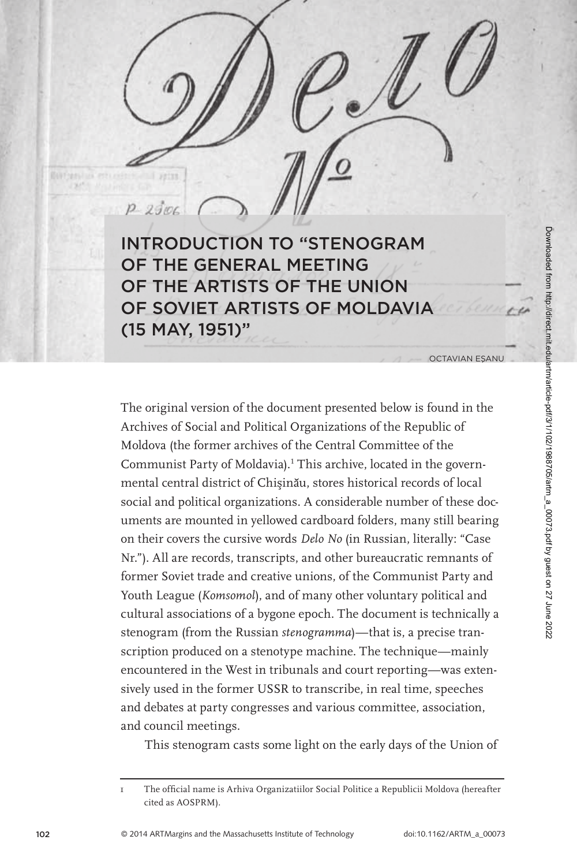Downloaded from http://direct.mit.edu/artm/article-pdf/3/1/102/1988705/artm\_a\_00073.pdf by guest on 27 June 2022 Downloaded from http://direct.mit.edu/artm/article-pdf/3/1/102/1988705/artm\_a\_00073.pdf by guest on 27 June 2022

 $P2900$ INTRODUCTION TO "STENOGRAM OF THE GENERAL MEETING OF THE ARTISTS OF THE UNION OF SOVIET ARTISTS OF MOLDAVIA (15 MAY, 1951)"

OCTAVIAN ESANU

The original version of the document presented below is found in the Archives of Social and Political Organizations of the Republic of Moldova (the former archives of the Central Committee of the Communist Party of Moldavia). 1 This archive, located in the governmental central district of Chisinău, stores historical records of local social and political organizations. A considerable number of these documents are mounted in yellowed cardboard folders, many still bearing on their covers the cursive words *Delo No* (in Russian, literally: "Case Nr."). All are records, transcripts, and other bureaucratic remnants of former Soviet trade and creative unions, of the Communist Party and Youth League (*Komsomol*), and of many other voluntary political and cultural associations of a bygone epoch. The document is technically a stenogram (from the Russian *stenogramma*)—that is, a precise transcription produced on a stenotype machine. The technique—mainly encountered in the West in tribunals and court reporting—was extensively used in the former USSR to transcribe, in real time, speeches and debates at party congresses and various committee, association, and council meetings.

This stenogram casts some light on the early days of the Union of

<sup>1</sup> The offi cial name is Arhiva Organizatiilor Social Politice a Republicii Moldova (hereafter cited as AOSPRM).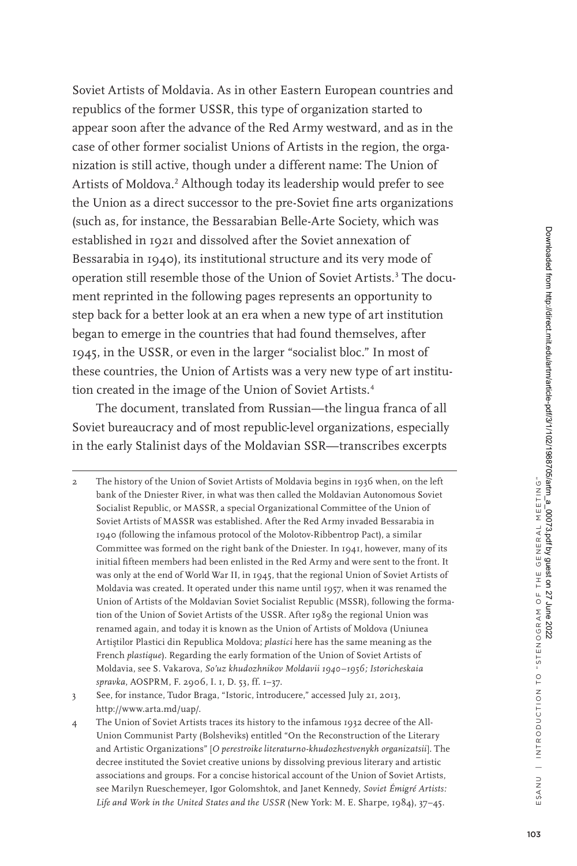Soviet Artists of Moldavia. As in other Eastern European countries and republics of the former USSR, this type of organization started to appear soon after the advance of the Red Army westward, and as in the case of other former socialist Unions of Artists in the region, the organization is still active, though under a different name: The Union of Artists of Moldova.<sup>2</sup> Although today its leadership would prefer to see the Union as a direct successor to the pre-Soviet fine arts organizations (such as, for instance, the Bessarabian Belle-Arte Society, which was established in 1921 and dissolved after the Soviet annexation of Bessarabia in 1940), its institutional structure and its very mode of operation still resemble those of the Union of Soviet Artists.<sup>3</sup> The document reprinted in the following pages represents an opportunity to step back for a better look at an era when a new type of art institution began to emerge in the countries that had found themselves, after 1945, in the USSR, or even in the larger "socialist bloc." In most of these countries, the Union of Artists was a very new type of art institution created in the image of the Union of Soviet Artists.<sup>4</sup>

The document, translated from Russian—the lingua franca of all Soviet bureaucracy and of most republic-level organizations, especially in the early Stalinist days of the Moldavian SSR—transcribes excerpts

2 The history of the Union of Soviet Artists of Moldavia begins in 1936 when, on the left bank of the Dniester River, in what was then called the Moldavian Autonomous Soviet Socialist Republic, or MASSR, a special Organizational Committee of the Union of Soviet Artists of MASSR was established. After the Red Army invaded Bessarabia in 1940 (following the infamous protocol of the Molotov-Ribbentrop Pact), a similar Committee was formed on the right bank of the Dniester. In 1941, however, many of its initial fifteen members had been enlisted in the Red Army and were sent to the front. It was only at the end of World War II, in 1945, that the regional Union of Soviet Artists of Moldavia was created. It operated under this name until 1957, when it was renamed the Union of Artists of the Moldavian Soviet Socialist Republic (MSSR), following the formation of the Union of Soviet Artists of the USSR. After 1989 the regional Union was renamed again, and today it is known as the Union of Artists of Moldova (Uniunea Artistilor Plastici din Republica Moldova; *plastici* here has the same meaning as the French *plastique*). Regarding the early formation of the Union of Soviet Artists of Moldavia, see S. Vakarova, *So'uz khudozhnikov Moldavii 1940–1956; Istoricheskaia spravka*, AOSPRM, F. 2906, I. 1, D. 53, ff. 1–37.

4 The Union of Soviet Artists traces its history to the infamous 1932 decree of the All-Union Communist Party (Bolsheviks) entitled "On the Reconstruction of the Literary and Artistic Organizations" [*O perestroike literaturno-khudozhestvenykh organizatsii*]. The decree instituted the Soviet creative unions by dissolving previous literary and artistic associations and groups. For a concise historical account of the Union of Soviet Artists, see Marilyn Rueschemeyer, Igor Golomshtok, and Janet Kennedy, *Soviet Émigré Artists: Life and Work in the United States and the USSR* (New York: M. E. Sharpe, 1984), 37–45.

<sup>3</sup> See, for instance, Tudor Braga, "Istoric, întroducere," accessed July 21, 2013, http://www.arta.md/uap/.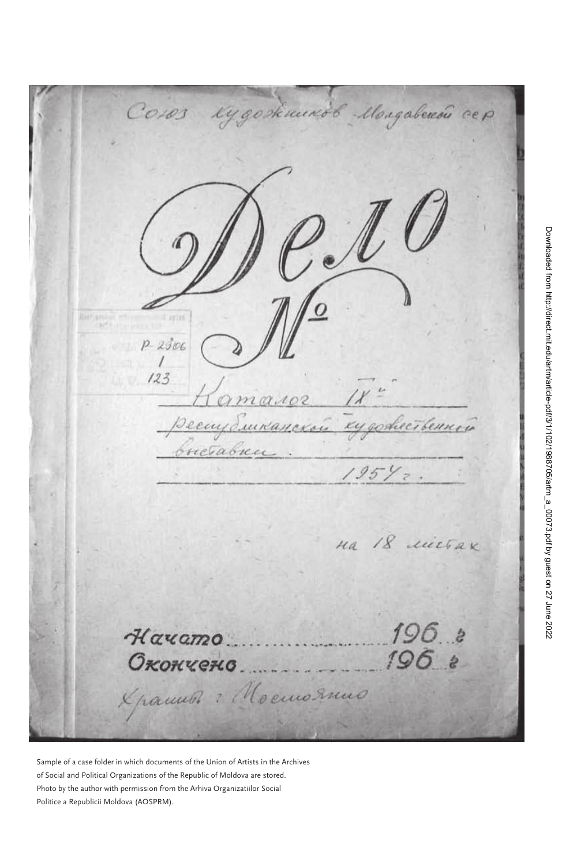Kygoskuundb Mongaberedu cep  $Co103$  $\frac{\partial}{\partial t}$  $P - 2306$  $123$ massor рестранской кудожественной brictabien  $195\%$ . Ha 18 michax  $196.8$ Hayamo 196 8 **Окончено** X ramun : Moemornuo

Sample of a case folder in which documents of the Union of Artists in the Archives of Social and Political Organizations of the Republic of Moldova are stored. Photo by the author with permission from the Arhiva Organizatiilor Social Politice a Republicii Moldova (AOSPRM).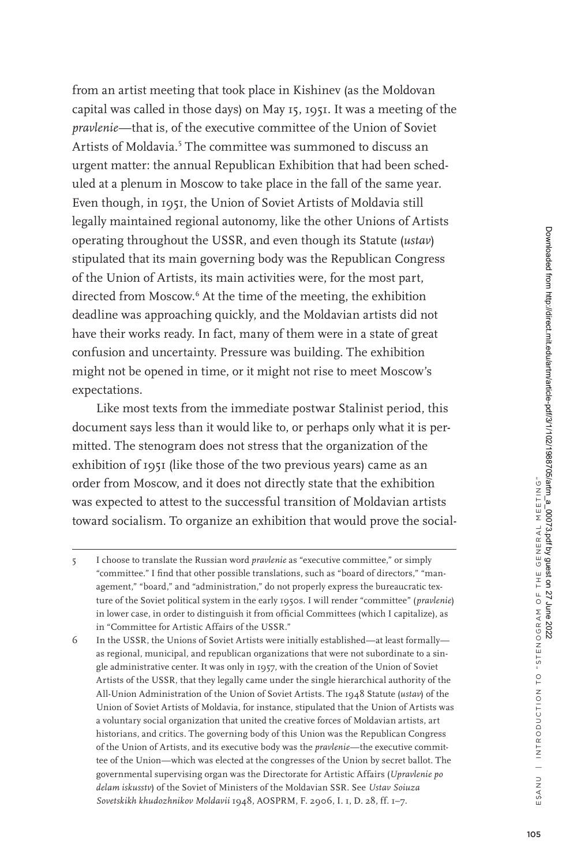from an artist meeting that took place in Kishinev (as the Moldovan capital was called in those days) on May 15, 1951. It was a meeting of the *pravlenie*—that is, of the executive committee of the Union of Soviet Artists of Moldavia.<sup>5</sup> The committee was summoned to discuss an urgent matter: the annual Republican Exhibition that had been scheduled at a plenum in Moscow to take place in the fall of the same year. Even though, in 1951, the Union of Soviet Artists of Moldavia still legally maintained regional autonomy, like the other Unions of Artists operating throughout the USSR, and even though its Statute (*ustav*) stipulated that its main governing body was the Republican Congress of the Union of Artists, its main activities were, for the most part, directed from Moscow.<sup>6</sup> At the time of the meeting, the exhibition deadline was approaching quickly, and the Moldavian artists did not have their works ready. In fact, many of them were in a state of great confusion and uncertainty. Pressure was building. The exhibition might not be opened in time, or it might not rise to meet Moscow's expectations.

Like most texts from the immediate postwar Stalinist period, this document says less than it would like to, or perhaps only what it is permitted. The stenogram does not stress that the organization of the exhibition of 1951 (like those of the two previous years) came as an order from Moscow, and it does not directly state that the exhibition was expected to attest to the successful transition of Moldavian artists toward socialism. To organize an exhibition that would prove the social-

6 In the USSR, the Unions of Soviet Artists were initially established—at least formally as regional, municipal, and republican organizations that were not subordinate to a single administrative center. It was only in 1957, with the creation of the Union of Soviet Artists of the USSR, that they legally came under the single hierarchical authority of the All-Union Administration of the Union of Soviet Artists. The 1948 Statute (*ustav*) of the Union of Soviet Artists of Moldavia, for instance, stipulated that the Union of Artists was a voluntary social organization that united the creative forces of Moldavian artists, art historians, and critics. The governing body of this Union was the Republican Congress of the Union of Artists, and its executive body was the *pravlenie*—the executive committee of the Union—which was elected at the congresses of the Union by secret ballot. The governmental supervising organ was the Directorate for Artistic Affairs (*Upravlenie po delam iskusstv*) of the Soviet of Ministers of the Moldavian SSR. See *Ustav Soiuza Sovetskikh khudozhnikov Moldavii* 1948, AOSPRM, F. 2906, I. 1, D. 28, ff. 1–7.

<sup>5</sup> I choose to translate the Russian word *pravlenie* as "executive committee," or simply "committee." I find that other possible translations, such as "board of directors," "management," "board," and "administration," do not properly express the bureaucratic texture of the Soviet political system in the early 1950s. I will render "committee" (*pravlenie*) in lower case, in order to distinguish it from official Committees (which I capitalize), as in "Committee for Artistic Affairs of the USSR."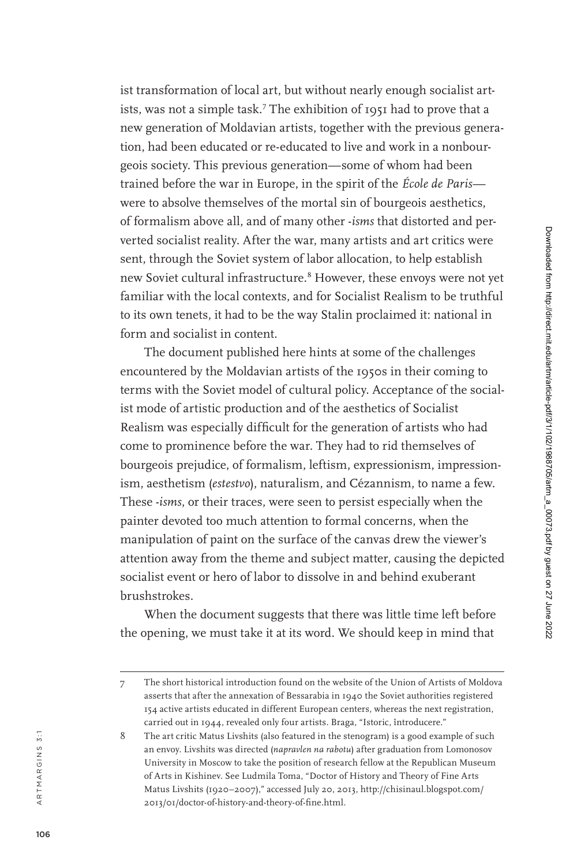ist transformation of local art, but without nearly enough socialist art ists, was not a simple task. 7 The exhibition of 1951 had to prove that a new generation of Moldavian artists, together with the previous genera tion, had been educated or re-educated to live and work in a nonbour geois society. This previous generation—some of whom had been trained before the war in Europe, in the spirit of the *École de Paris* were to absolve themselves of the mortal sin of bourgeois aesthetics, of formalism above all, and of many other -*isms* that distorted and per verted socialist reality. After the war, many artists and art critics were sent, through the Soviet system of labor allocation, to help establish new Soviet cultural infrastructure. 8 However, these envoys were not yet familiar with the local contexts, and for Socialist Realism to be truthful to its own tenets, it had to be the way Stalin proclaimed it: national in form and socialist in content.

The document published here hints at some of the challenges encountered by the Moldavian artists of the 1950s in their coming to terms with the Soviet model of cultural policy. Acceptance of the social ist mode of artistic production and of the aesthetics of Socialist Realism was especially difficult for the generation of artists who had come to prominence before the war. They had to rid themselves of bourgeois prejudice, of formalism, leftism, expressionism, impression ism, aesthetism (*estestvo*), naturalism, and Cézannism, to name a few. These -*isms*, or their traces, were seen to persist especially when the painter devoted too much attention to formal concerns, when the manipulation of paint on the surface of the canvas drew the viewer's attention away from the theme and subject matter, causing the depicted socialist event or hero of labor to dissolve in and behind exuberant brushstrokes.

When the document suggests that there was little time left before the opening, we must take it at its word. We should keep in mind that

a r t m a r g i n s 3 : 1

ARTMARGINS 3:1

<sup>7</sup> The short historical introduction found on the website of the Union of Artists of Moldova asserts that after the annexation of Bessarabia in 1940 the Soviet authorities registered 154 active artists educated in different European centers, whereas the next registration, carried out in 1944, revealed only four artists. Braga, "Istoric, întroducere."

<sup>8</sup> The art critic Matus Livshits (also featured in the stenogram) is a good example of such an envoy. Livshits was directed (*napravlen na rabotu*) after graduation from Lomonosov University in Moscow to take the position of research fellow at the Republican Museum of Arts in Kishinev. See Ludmila Toma, "Doctor of History and Theory of Fine Arts Matus Livshits (1920–2007)," accessed July 20, 2013, http://chisinaul.blogspot.com/ 2013/01/doctor-of-history-and-theory-of-fine.html.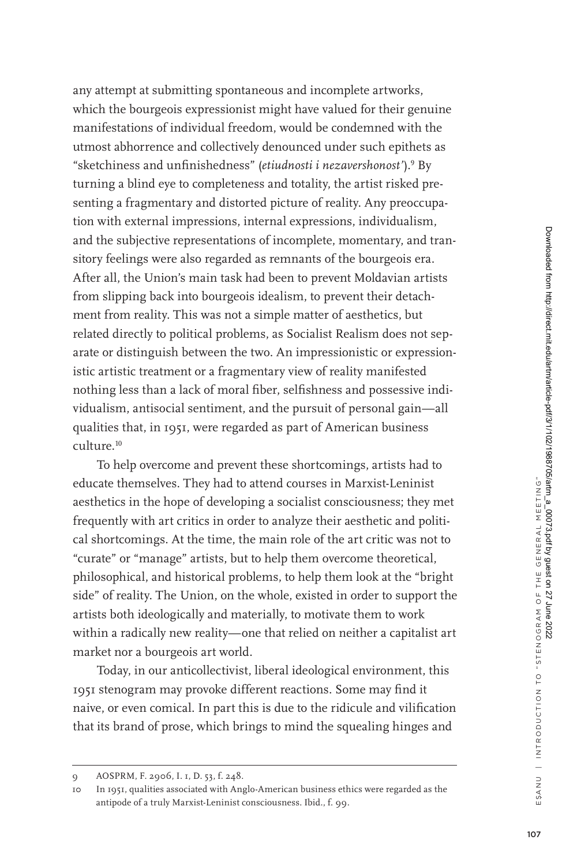any attempt at submitting spontaneous and incomplete artworks, which the bourgeois expressionist might have valued for their genuine manifestations of individual freedom, would be condemned with the utmost abhorrence and collectively denounced under such epithets as "sketchiness and unfinishedness" (*etiudnosti i nezavershonost'*).<sup>9</sup> By turning a blind eye to completeness and totality, the artist risked presenting a fragmentary and distorted picture of reality. Any preoccupation with external impressions, internal expressions, individualism, and the subjective representations of incomplete, momentary, and transitory feelings were also regarded as remnants of the bourgeois era. After all, the Union's main task had been to prevent Moldavian artists from slipping back into bourgeois idealism, to prevent their detachment from reality. This was not a simple matter of aesthetics, but related directly to political problems, as Socialist Realism does not separate or distinguish between the two. An impressionistic or expressionistic artistic treatment or a fragmentary view of reality manifested nothing less than a lack of moral fiber, selfishness and possessive individualism, antisocial sentiment, and the pursuit of personal gain—all qualities that, in 1951, were regarded as part of American business culture.<sup>10</sup>

To help overcome and prevent these shortcomings, artists had to educate themselves. They had to attend courses in Marxist-Leninist aesthetics in the hope of developing a socialist consciousness; they met frequently with art critics in order to analyze their aesthetic and political shortcomings. At the time, the main role of the art critic was not to "curate" or "manage" artists, but to help them overcome theoretical, philosophical, and historical problems, to help them look at the "bright side" of reality. The Union, on the whole, existed in order to support the artists both ideologically and materially, to motivate them to work within a radically new reality—one that relied on neither a capitalist art market nor a bourgeois art world.

Today, in our anticollectivist, liberal ideological environment, this 1951 stenogram may provoke different reactions. Some may find it naive, or even comical. In part this is due to the ridicule and vilification that its brand of prose, which brings to mind the squealing hinges and

<sup>9</sup> AOSPRM, F. 2906, I. 1, D. 53, f. 248.

<sup>10</sup> In 1951, qualities associated with Anglo-American business ethics were regarded as the antipode of a truly Marxist-Leninist consciousness. Ibid., f. 99.